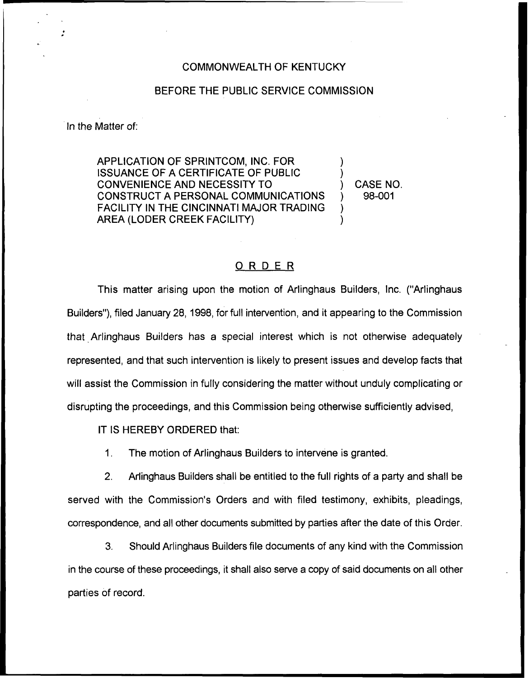## COMMONWEALTH OF KENTUCKY

## BEFORE THE PUBLIC SERVICE COMMISSION

In the Matter of:

APPLICATION OF SPRINTCOM, INC. FOR ISSUANCE OF A CERTIFICATE OF PUBLIC CONVENIENCE AND NECESSITY TO CONSTRUCT A PERSONAL COMMUNICATIONS FACILITY IN THE CINCINNATI MAJOR TRADING AREA (LODER CREEK FACILITY)

) CASE NO. ) 98-001

) )

) )

## ORDER

This matter arising upon the motion of Arlinghaus Builders, Inc. ("Arlinghaus Builders"), filed January 28, 1998, for full intervention, and it appearing to the Commission that Arlinghaus Builders has a special interest which is not otherwise adequately represented, and that such intervention is likely to present issues and develop facts that will assist the Commission in fully considering the matter without unduly complicating or disrupting the proceedings, and this Commission being otherwise sufficiently advised,

IT IS HEREBY ORDERED that:

1. The motion of Arlinghaus Builders to intervene is granted.

2. Arlinghaus Builders shall be entitled to the full rights of a party and shall be served with the Commission's Orders and with filed testimony, exhibits, pleadings, correspondence, and all other documents submitted by parties after the date of this Order.

3. Should Arlinghaus Builders file documents of any kind with the Commission in the course of these proceedings, it shall also serve a copy of said documents on all other parties of record.